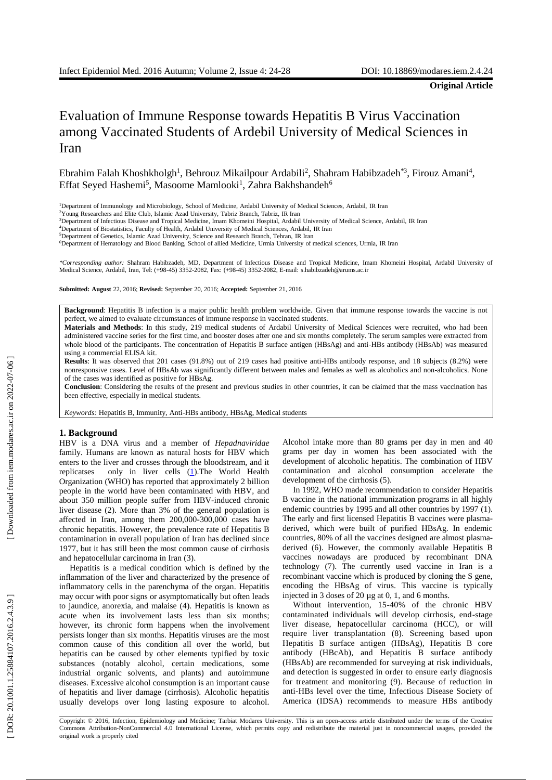**Original Article**

# Evaluation of Immune Response towards Hepatitis B Virus Vaccination among Vaccinated Students of Ardebil University of Medical Sciences in Iran

Ebrahim Falah Khoshkholgh<sup>1</sup>, Behrouz Mikailpour Ardabili<sup>2</sup>, Shahram Habibzadeh<sup>\*3</sup>, Firouz Amani<sup>4</sup>, Effat Seyed Hashemi<sup>5</sup>, Masoome Mamlooki<sup>1</sup>, Zahra Bakhshandeh<sup>6</sup>

<sup>6</sup>Department of Hematology and Blood Banking, School of allied Medicine, Urmia University of medical sciences, Urmia, IR Iran

*\*Corresponding author:* Shahram Habibzadeh, MD, Department of Infectious Disease and Tropical Medicine, Imam Khomeini Hospital, Ardabil University of Medical Science, Ardabil, Iran, Tel: (+98 -45) 3352 -2082, Fax: (+98 -45) 3352 -2082, E -mail: s.habibzadeh@arums.ac.ir

**Submitted: August** 22, 2016; **Revised:** September 20, 2016; **Accepted:** September 21, 2016

Background: Hepatitis B infection is a major public health problem worldwide. Given that immune response towards the vaccine is not perfect, we aimed to evaluate circumstance s of immune response in vaccinated students.

**Materials and Methods**: In this study, 219 medical students of Ardabil University of Medical Sciences were recruited, who had been administered vaccine series for the first time, and booster doses after one and six months completely. The serum samples were extracted from whole blood of the participants. The concentration of Hepatitis B surface antigen (HBsAg) and anti -HBs antibody (HBsAb) was measured using a commercial ELISA kit.

Results: It was observed that 201 cases (91.8%) out of 219 cases had positive anti-HBs antibody response, and 18 subjects (8.2%) were nonresponsive cases. Level of HBsAb was significantly different between males and females as well as alcoholics and non -alcoholics . None of the cases was identified as positive for H BsAg.

**Conclusion**: Considering the results of the present and previous studies in other countries, it can be claimed that the mass vaccination has been effective, especially in medical students.

*Keywords:* Hepatitis B, Immunity, Anti -HBs antibody, HBsAg, Medical students

# **1. Background**

HBV is a DNA virus and a member of *Hepadnaviridae* family. Humans are known as natural hosts for HBV which enters to the liver and crosses through the bloodstream, and it replicatses only in liver cells (1). The World Health Organization (WHO) has reported that approximately 2 billion people in the world have been contaminated with HBV , and about 350 million people suffer from HBV - induced chronic liver disease ( 2 ). More than 3% of the general population is affected in Iran, among them 200,000 -300,000 cases have chronic hepatitis. However, the prevalence rate of Hepatitis B contamination in overall population of Iran has declined since 1977 , but it has still been the most common cause of cirrhosis and hepatocellular carcinoma in Iran ( 3 ) .

Hepatitis is a medical condition which is defined by the inflammation of the liver and characterized by the presence of inflammatory cells in the parenchyma of the organ. Hepatitis may occur with poor signs or asymptomatically but often leads to jaundice, anorexia, and malaise ( 4 ). Hepatitis is known as acute when its involvement lasts less than six months ; however, its chronic form happens when the involvement persists longer than six months. Hepatitis viruses are the most common cause of this condition all over the world, but hepatitis can be caused by other elements typified by toxic substances (notably alcohol, certain medications, some industrial organic solvents, and plants) and autoimmune diseases. Excessive alcohol consumption is a n important cause of hepatitis and liver damage (cirrhosis). Alcoholic hepatitis usually develops over long lasting exposure to alcohol.

Alcohol intake more than 80 grams per day in men and 40 grams per day in women has been associated with the development of alcoholic hepatitis. The combination of H BV contamination and alcohol consumption accelerate the development of the cirrhosis (5).

In 1992, WHO made recommendation to consider Hepatitis B vaccine in the national immunization programs in all highly endemic countries by 1995 and all other countries by 1997 (1). The early and first licensed Hepatitis B vaccines were plasma derived, which were built of purified HBsAg. In endemic countries, 80% of all the vaccines designed are almost plasma derived ( 6 ). However, the commonly available Hepatitis B vaccines nowadays are produced by recombinant DNA technology ( 7 ). The currently used vaccine in Iran is a recombinant vaccine which is produced by cloning the S gene, encoding the HBsAg of virus. This vaccine is typically injected in 3 doses of 20 µg at 0, 1 , and 6 months.

Without intervention, 15 -40% of the chronic HBV contaminated individuals will develop cirrhosis, end -stage liver disease, hepatocellular carcinoma (HCC), or will require liver transplantation ( 8 ). Screening based upon Hepatitis B surface antigen (HBsAg), Hepatitis B core antibody (HBcA b), and Hepatitis B surface antibody (HBsAb) are recommended for surveying at risk individuals, and detection is suggested in order to ensure early diagnosis for treatment and monitoring ( 9 ) . Because of reduction in anti -HBs level over the time, Infectious Disease Society of America (IDSA) recommends to measure HBs antibody

<sup>1</sup>Department of Immunology and Microbiology, School of Medicine, Ardabil University of Medical Sciences, Ardabil, IR Iran

<sup>2</sup>Young Researchers and Elite Club, Islamic Azad University, Tabriz Branch, Tabriz, IR Iran

<sup>&</sup>lt;sup>3</sup>Department of Infectious Disease and Tropical Medicine, Imam Khomeini Hospital, Ardabil University of Medical Science, Ardabil, IR Iran

<sup>4</sup>Department of Biostatistics, Faculty of Health, Ardabil University of Medical Sciences, Ardabil, IR Iran

<sup>5</sup>Department of Genetics, Islamic Azad University, Science and Research Branch, Tehran, IR Iran

Copyright © 2016, Infection, Epidemiology and Medicine; Tarbiat Modares University. This is an open -access article distributed under the terms of the Creative Commons Attribution -NonCommercial 4.0 International License, which permits copy and redistribute the material just in noncommercial usages, provided the original work is properly cited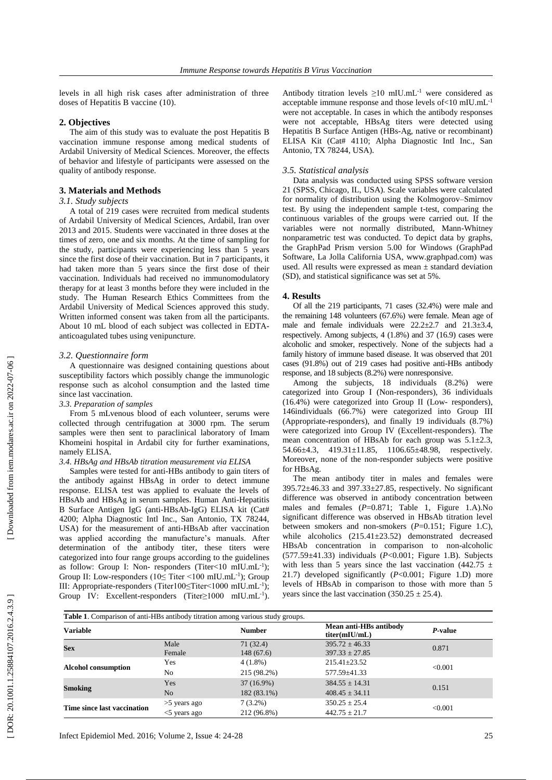levels in all high risk cases after administration of three doses of Hepatitis B vaccine (10 ) .

# **2. Objectives**

The aim of this study was to evaluate the post Hepatitis B vaccination immune response among medical students of Ardabil University of Medical Sciences. Moreover, the effects of behavior and lifestyle of participants were assessed on the quality of antibody response .

# **3. Materials and Methods**

# *3.1. Study subjects*

A total of 219 cases were recruited from medical students of Ardabil University of Medical Sciences, Ardabil, Iran over 201 3 and 201 5. Students were vaccinated in three doses at the times of zero, one and six months. At the time of sampling for the study , participants were experiencing less than 5 years since the first dose of their vaccination. But in 7 participants, it had taken more than 5 years since the first dose of their vaccination. Individuals had received no immunomodulatory therapy for at least 3 months before they were included in the study. The Human Research Ethics Committees from the Ardabil University of Medical Sciences approved this study. Written informed consent was taken from all the participants. About 10 m L blood of each subject was collected in EDTA anticoagulated tubes using venipuncture.

#### *3.2. Questionnaire form*

A questionnaire was designed containing questions about susceptibility factors which possibly change the immunologic response such as alcohol consumption and the lasted time since last vaccination .

# *3.3. Preparation of samples*

From 5 mLvenous blood of each volunteer, serums were collected through centrifugation at 3000 rpm. The serum samples were then sent to paraclinical laboratory of Imam Khomeini hospital in Ardabil city for further examinations, namely ELISA.

#### *3.4. HBsAg and HBsAb titration measurement via ELISA*

Samples were tested for anti -HBs antibody to gain titers of the antibody against HBsAg in order to detect immune response. ELISA test was applied to evaluate the level s of HBsAb and HBsAg in serum samples. Human Anti -Hepatitis B Surface Antigen IgG (anti -HBsAb -IgG) ELISA kit (Cat# 4200; Alpha Diagnostic Intl Inc., San Antonio, TX 78244, USA) for the measurement of anti -HBsA b after vaccination was applied according the manufacture's manuals. After determination of the antibody titer, these titers were categorized into four range groups according to the guidelines as follow: Group I: Non-responders (Titer<10 mIU.mL<sup>-1</sup>); Group II: Low-responders  $(10 \leq$  Titer <100 mIU.mL<sup>-1</sup>); Group III: Appropriate-responders (Titer100≤Titer<1000 mIU.mL<sup>-1</sup>); Group IV: Excellent-responders (Titer≥1000 mIU.mL<sup>-1</sup>). Antibody titration levels  $\geq 10$  mIU.mL<sup>-1</sup> were considered as acceptable immune response and those levels of<10 mIU.mL<sup>-1</sup> were not acceptable . In cases in which the antibody responses were not acceptable , HBsAg titers were detected using Hepatitis B Surface Antigen (HBs -Ag, native or recombinant) ELISA Kit (Cat# 4110; Alpha Diagnostic Intl Inc., San Antonio, TX 78244, USA).

# *3.5. Statistical analysis*

Data analysis was conducted using SPSS software version 21 (SPSS, Chicago, IL, USA). Scale variables were calculated for normality of distribution using the Kolmogorov –Smirnov test. By using the independent sample t -test, comparing the continuous variables of the groups were carried out. If the variable s were not normally distributed, Mann -Whitney nonparametric test was conducted. To depict data by graphs, the GraphPad Prism version 5.00 for Windows (GraphPad Software, La Jolla California USA, www.graphpad.com) was used. All results were expressed as mean  $\pm$  standard deviation (SD) , and statistical significance was set at 5%.

#### **4. Results**

Of all the 219 participants, 71 cases (32 .4%) were male and the remaining 148 volunteers (67 .6%) were female. Mean age of male and female individuals were  $22.2 \pm 2.7$  and  $21.3 \pm 3.4$ , respectively. Among subjects, 4 (1.8%) and 37 (16.9) cases were alcoholic and smoker, respectively. None of the subjects had a famil y history of immune based disease. It was observed that 201 cases (91.8%) out of 219 cases had positive anti -HBs antibody response , and 18 subjects (8.2%) were nonresponsive .

Among the subjects, 18 individuals (8.2%) were categorized into Group I (Non -responders), 36 individuals (16.4%) were categorized into Group II (Low - responders), 146individuals (66.7%) were categorized into Group III (Appropriate -responders), and finally 19 individuals (8.7%) were categorized into Group IV (Excellent -responders). The mean concentration of HBsAb for each group was 5.1±2.3, 54.66±4.3, 419.31±11.85, 1106.65±48.98, respectively. Moreover, none of the non -responder subjects were positive for HBsAg.

The mean antibody titer in males and females were 395.72± 46.33 and 397.33±27.85, respectively. No significant difference was observed in antibody concentration between males and females (P=0.871; Table 1, Figure 1.A).No significant difference was observed in HBsAb titration level between smokers and non-smokers (P=0.151; Figure 1.C), while alcoholics (215.41±23.52) demonstrated decreased HBsAb concentration in comparison to non -alcoholic ( 577.59±41.33) individuals ( *P*<0.001; Figure 1.B ) . Subjects with less than 5 years since the last vaccination (442.75  $\pm$ 21.7) developed significantly ( *P*<0.001; Figure 1.D) more levels of HBsAb in comparison to those with more than 5 years since the last vaccination  $(350.25 \pm 25.4)$ .

| <b>Table 1.</b> Comparison of anti-HBs antibody titration among various study groups. |                 |               |                                         |         |
|---------------------------------------------------------------------------------------|-----------------|---------------|-----------------------------------------|---------|
| <b>Variable</b>                                                                       |                 | <b>Number</b> | Mean anti-HBs antibody<br>titer(mIU/mL) | P-value |
| <b>Sex</b>                                                                            | Male            | 71 (32.4)     | $395.72 \pm 46.33$                      | 0.871   |
|                                                                                       | Female          | 148 (67.6)    | $397.33 \pm 27.85$                      |         |
| <b>Alcohol consumption</b>                                                            | Yes             | $4(1.8\%)$    | $215.41 + 23.52$                        | < 0.001 |
|                                                                                       | N <sub>0</sub>  | 215 (98.2%)   | 577.59±41.33                            |         |
| Smoking                                                                               | Yes             | $37(16.9\%)$  | $384.55 + 14.31$                        | 0.151   |
|                                                                                       | N <sub>o</sub>  | 182 (83.1%)   | $408.45 \pm 34.11$                      |         |
| Time since last vaccination                                                           | $>5$ years ago  | $7(3.2\%)$    | $350.25 + 25.4$                         | < 0.001 |
|                                                                                       | $<$ 5 years ago | 212 (96.8%)   | $442.75 \pm 21.7$                       |         |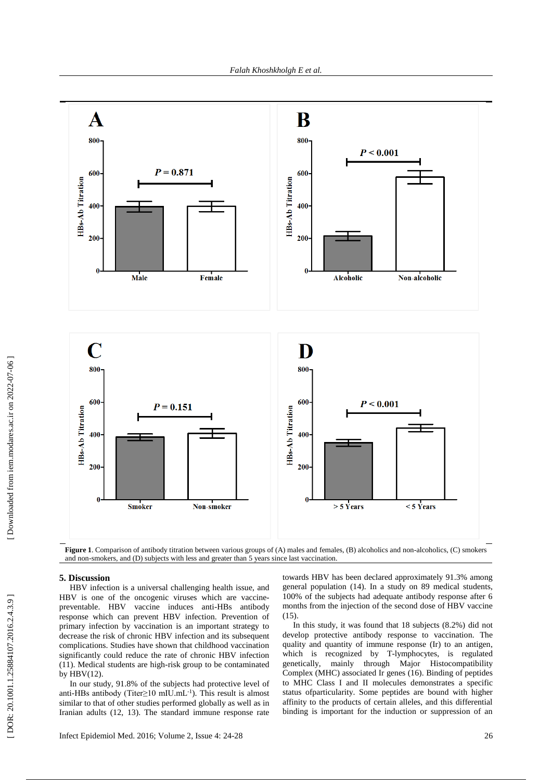

Figure 1. Comparison of antibody titration between various groups of (A) males and females, (B) alcoholics and non-alcoholics, (C) smokers and non -smokers, and (D) subjects with less and greater than 5 years since last vaccination.

# **5. Discussion**

HBV infection is a universal challenging health issue , and HBV is one of the oncogenic viruses which are vaccinepreventable. HB V vaccine induces anti -HBs antibody response which can prevent HBV infection. Prevention of primary infection by vaccination is an important strategy to decrease the risk of chronic HBV infection and its subsequent complications. Studies have shown that childhood vaccination significantly could reduce the rate of chronic HBV infection (11). Medical students are high-risk group to be contaminated by HBV (12 ) .

In our study, 91.8% of the subjects had protective level of anti-HBs antibody (Titer≥10 mIU.mL $^{-1}$ ). This result is almost similar to that of other studies performed globally as well as in Iranian adults (12, 13 ). The standard immune response rate

towards HBV has been declared approximately 91.3% among general population (14 ). In a study on 89 medical students, 100% of the subjects had adequate antibody response after 6 months from the injection of the second dose of HBV vaccine (15).

In this study, it was found that 18 subjects (8.2%) did not develop protective antibody response to vaccination. The quality and quantity of immune response (Ir) to an antigen, which is recognized by T -lymphocytes , is regulated genetically, mainly through Major Histocompatibility Complex (MHC) associated Ir genes (16 ). Binding of peptides to MHC Class I and II molecules demonstrates a specific status ofparticularity. Some peptides are bound with higher affinity to the products of certain alleles, and this differential binding is important for the induction or suppression of an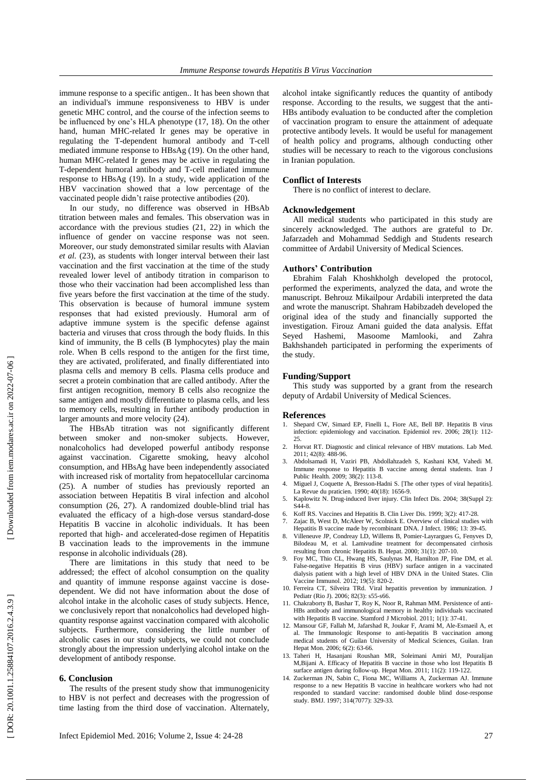immune response to a specific antigen.. It has been shown that an individual's immune responsiveness to HBV is under genetic MHC control , and the course of the infection seems to be influenced by one's HLA phenotype (17, 18 ). On the other hand, human MHC -related Ir genes may be operative in regulating the T -dependent humoral antibody and T -cell mediated immune response to HBsAg (19 ) . On the other hand, human MHC -related Ir genes may be active in regulating the T -dependent humoral antibody and T -cell mediated immune response to HBsAg (19 ). In a study, wide application of the HBV vaccination showed that a low percentage of the vaccinated people didn't raise protective antibodies (20 ) .

In our study, no difference was observed in HBsAb titration between males and females. This observation was in accordance with the previous studies (21, 22 ) in which the influence of gender on vaccine response was not seen. Moreover, our study demonstrated similar results with Alavian *et al.* (23 ) , as students with longer interval between their last vaccination and the first vaccination at the time of the study revealed lower level of antibody titration in comparison to those wh o their vaccination had been accomplished less than five years before the first vaccination at the time of the study . This observation is because of hum oral immune system responses that had existed previously. Hum oral arm of adaptive immune system is the specific defense against bacteria and viruses that cross through the body fluids. In this kind of immunity, the B cells (B lymphocytes) play the main role. When B cells respond to the antigen for the first time, they are activated , proliferated, and finally differentiated into plasma cells and memory B cells. Plasma cells produce and secret a protein combination that are called antibody . After the first antigen recognition, memory B cells also recognize the same antigen and mostly differentiate to plasma cells, and less to memory cells, resulting in further antibody production in larger amounts and more velocity (24).

The HBsAb titration was not significantly different between smoker and non -smoker subjects. However, nonalcoholics had developed powerful antibody response against vaccination. Cigarette smoking, heavy alcohol consumption, and HBsAg have been independently associated  $(25)$ . A number of studies has previously reported an association between Hepatitis B viral infection and alcohol consumption (26, 27 ) . A randomized double -blind trial has evaluated the efficacy of a high -dose versus standard -dose Hepatitis B vaccine in alcoholic individuals. It has been reported that high - and accelerated -dose regimen of Hepatitis B vaccination leads to the improvements in the immune response in alcoholic individuals (28 ) .

There are limitations in this study that need to be addressed; the effect of alcohol consumption on the quality and quantity of immune response against vaccine is dose dependent. We did not have information about the dose of alcohol intake in the alcoholic cases of study subjects. Hence, we conclusively report that nonalcoholics had developed highquantity response against vaccination compared with alcoholic subjects. Furthermore, considering the little number of alcoholic cases in our study subjects, we could not conclude strongly about the impression underlying alcohol intake on the development of antibody response.

#### **6. Conclusion**

The results of the present study show that immunogenicity to HBV is not perfect and decreases with the progression of time lasting from the third dose of vaccination. Alternately,

alcohol intake significantly reduces the quantity of antibody response . According to the results , we suggest that the anti - HBs antibody evaluation to be conducted after the completion of vaccination program to ensure the attainment of adequate protective antibody levels. It would be useful for management of health policy and programs, although conducting other studies will be necessary to reach to the vigorous conclusions in Iranian population.

# **Conflict of Interests**

There is no conflict of interest to declare.

# **Acknowledgement**

All medical students who participated in this study are sincerely acknowledged. The authors are grateful to Dr . Jafarzadeh and Mohammad Seddigh and Students research committee of Ardabil University of Medical Sciences.

# **Authors' Contribution**

Ebrahim Falah Khoshkholgh developed the protocol, performed the experiments, analyzed the data, and wrote the manuscript. Behrouz Mikailpour Ardabili interpreted the data and wrote the manuscript. Shahram Habibzadeh developed the original idea of the study and financially supported the investigation. Firouz Amani guided the data analysis. Effat Seyed Hashemi, Masoome Mamlooki, and Zahra Bakhshandeh participated in performing the experiments of the study.

#### **Funding/Support**

This study was supported by a grant from the research deputy of Ardabil University of Medical Sciences .

#### **References**

- 1. Shepard CW, Simard EP, Finelli L, Fiore AE, Bell BP. Hepatitis B virus infection: epidemiology and vaccination. Epidemiol rev. 2006; 28(1): 112 - 25.
- 2. Horvat RT. Diagnostic and clinical relevance of HBV mutations. Lab Med. 2011; 42(8): 488 -96.
- 3. Abdolsamadi H, Vaziri PB, Abdollahzadeh S, Kashani KM, Vahedi M. Immune response to Hepatitis B vaccine among dental students. Iran J Public Health. 2009; 38(2): 113 -8.
- 4. Migue l J, Coquette A, Bresson -Hadni S. [The other types of viral hepatitis]. La Revue du praticien. 1990; 40(18): 1656 -9.
- 5. Kaplowitz N. Drug -induced liver injury. Clin Infect Dis. 2004; 38(Suppl 2): S44 -8.
- 6. Koff RS. Vaccines and Hepatitis B. Clin Liver Dis. 1999; 3(2): 417 -28.
- 7. Zajac B, West D, McAleer W, Scolnick E. Overview of clinical studies with Hepatitis B vaccine made by recombinant DNA. J Infect. 1986; 13: 39-45.
- 8. Villeneuve JP, Condreay LD, Willems B, Pomier ‐Layrargues G, Fenyves D, Bilodeau M, et al. Lamivudine treatment for decompensated cirrhosis resulting from chronic Hepatitis B. Hepat. 2000; 31(1): 207-10.
- 9. Foy MC, Thio CL, Hwang HS, Saulynas M, Hamilton JP, Fine DM, et al. False -negative Hepatitis B virus (HBV) surface antigen in a vaccinated dialysis patient with a high level of HBV DNA in the United States. Clin Vaccine Immunol. 2012; 19(5): 820 -2.
- 10. Ferreira CT, Silveira TRd. Viral hepatitis prevention by immunization. J Pediatr (Rio J). 2006; 82(3): s55-s66.
- 11. Chakraborty B, Bashar T, Roy K, Noor R, Rahman MM. Persistence of anti HBs antibody and immunological memory in healthy individuals vaccinated with Hepatitis B vaccine. Stamford J Microbiol. 2011; 1(1): 37-41.
- 12. Mansour GF, Fallah M, Jafarshad R, Joukar F, Arami M, Ale -Esmaeil A, et al. The Immunologic Response to anti -hepatitis B vaccination among medical students of Guilan University of Medical Sciences, Guilan . Iran Hepat Mon. 2006; 6(2): 63-66.
- 13. Taheri H, Hasanjani Roushan M R, Soleimani Amiri MJ, Pouralijan M , Bijani A. Efficacy of Hepatitis B vaccine in those who lost Hepatitis B surface antigen during follow-up. Hepat Mon. 2011; 11(2): 119-122.
- 14. Zuckerman JN, Sabin C, Fiona MC, Williams A, Zuckerman AJ. Immune response to a new Hepatitis B vaccine in healthcare workers who had not responded to standard vaccine: randomised double blind dose -response study. BMJ. 1997; 314(7077): 329-33.